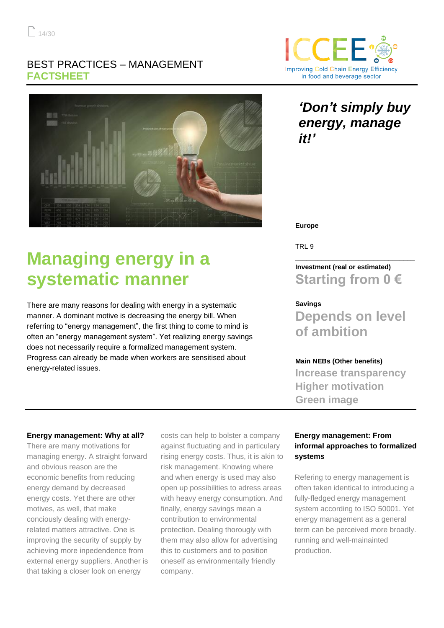## BEST PRACTICES – MANAGEMENT **FACTSHEET**



# **Managing energy in a systematic manner**

There are many reasons for dealing with energy in a systematic manner. A dominant motive is decreasing the energy bill. When referring to "energy management", the first thing to come to mind is often an "energy management system". Yet realizing energy savings does not necessarily require a formalized management system. Progress can already be made when workers are sensitised about energy-related issues.



# *'Don't simply buy energy, manage it!'*

**Europe**

TRL 9

## **Investment (real or estimated) Starting from 0 €**

\_\_\_\_\_\_\_\_\_\_\_\_\_\_\_\_\_\_\_\_\_\_\_\_\_\_\_\_\_\_\_\_

#### **Savings**

**Depends on level of ambition**

#### **Main NEBs (Other benefits)**

**Increase transparency Higher motivation Green image**

#### **Energy management: Why at all?**

There are many motivations for managing energy. A straight forward and obvious reason are the economic benefits from reducing energy demand by decreased energy costs. Yet there are other motives, as well, that make conciously dealing with energyrelated matters attractive. One is improving the security of supply by achieving more inpedendence from external energy suppliers. Another is that taking a closer look on energy

costs can help to bolster a company against fluctuating and in particulary rising energy costs. Thus, it is akin to risk management. Knowing where and when energy is used may also open up possibilities to adress areas with heavy energy consumption. And finally, energy savings mean a contribution to environmental protection. Dealing thorougly with them may also allow for advertising this to customers and to position oneself as environmentally friendly company.

#### **Energy management: From informal approaches to formalized systems**

Refering to energy management is often taken identical to introducing a fully-fledged energy management system according to ISO 50001. Yet energy management as a general term can be perceived more broadly. running and well-mainainted production.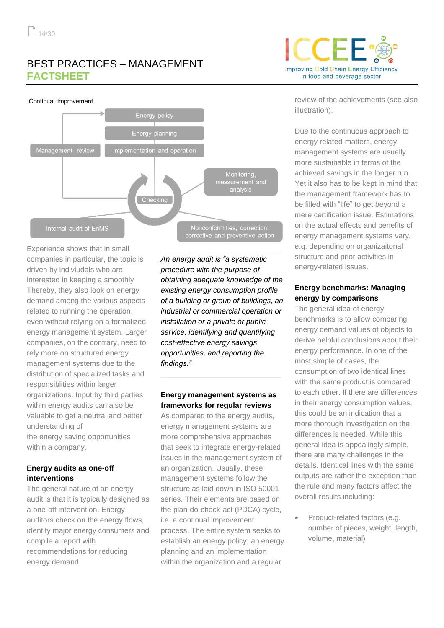# BEST PRACTICES – MANAGEMENT **FACTSHEET**



Experience shows that in small companies in particular, the topic is driven by indiviudals who are interested in keeping a smoothly Thereby, they also look on energy demand among the various aspects related to running the operation, even without relying on a formalized energy management system. Larger companies, on the contrary, need to rely more on structured energy management systems due to the distribution of specialized tasks and responsiblities within larger organizations. Input by third parties within energy audits can also be valuable to get a neutral and better understanding of the energy saving opportunities within a company.

#### **Energy audits as one-off interventions**

The general nature of an energy audit is that it is typically designed as a one-off intervention. Energy auditors check on the energy flows, identify major energy consumers and compile a report with recommendations for reducing energy demand.

*An energy audit is "a systematic procedure with the purpose of obtaining adequate knowledge of the existing energy consumption profile of a building or group of buildings, an industrial or commercial operation or installation or a private or public service, identifying and quantifying cost-effective energy savings opportunities, and reporting the findings."*

#### **Energy management systems as frameworks for regular reviews**

**\_\_\_\_\_\_\_\_\_\_\_\_\_\_\_\_\_\_\_\_\_\_\_\_\_\_\_\_\_**

As compared to the energy audits, energy management systems are more comprehensive approaches that seek to integrate energy-related issues in the management system of an organization. Usually, these management systems follow the structure as laid down in ISO 50001 series. Their elements are based on the plan-do-check-act (PDCA) cycle, i.e. a continual improvement process. The entire system seeks to establish an energy policy, an energy planning and an implementation within the organization and a regular



review of the achievements (see also illustration).

Due to the continuous approach to energy related-matters, energy management systems are usually more sustainable in terms of the achieved savings in the longer run. Yet it also has to be kept in mind that the management framework has to be filled with "life" to get beyond a mere certification issue. Estimations on the actual effects and benefits of energy management systems vary, e.g. depending on organizaitonal structure and prior activities in energy-related issues.

#### **Energy benchmarks: Managing energy by comparisons**

The general idea of energy benchmarks is to allow comparing energy demand values of objects to derive helpful conclusions about their energy performance. In one of the most simple of cases, the consumption of two identical lines with the same product is compared to each other. If there are differences in their energy consumption values, this could be an indication that a more thorough investigation on the differences is needed. While this general idea is appealingly simple, there are many challenges in the details. Identical lines with the same outputs are rather the exception than the rule and many factors affect the overall results including:

Product-related factors (e.g. number of pieces, weight, length, volume, material)